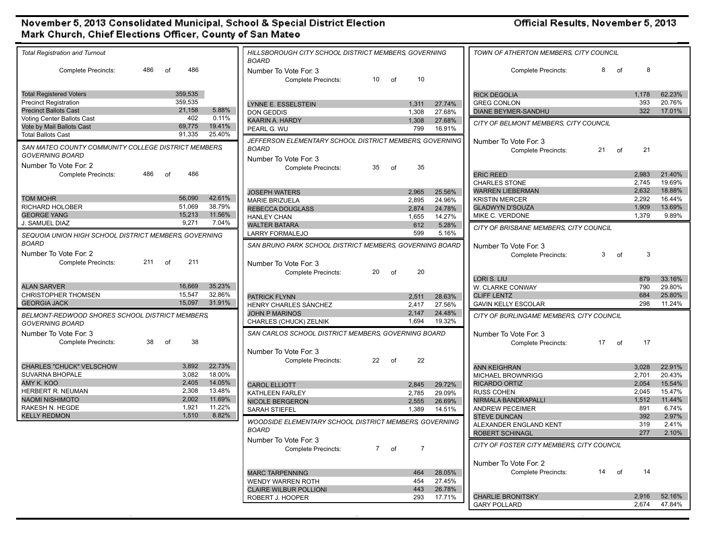## November 5, 2013 Consolidated Municipal, School & Special District Election<br>Mark Church, Chief Elections Officer, County of San Mateo

Official Results, November 5, 2013

| <b>Total Registration and Turnout</b>                 |                                    | TOWN OF ATHERTON MEMBERS, CITY COUNCIL<br>HILLSBOROUGH CITY SCHOOL DISTRICT MEMBERS, GOVERNING                                    |                                |
|-------------------------------------------------------|------------------------------------|-----------------------------------------------------------------------------------------------------------------------------------|--------------------------------|
| 486<br><b>Complete Precincts:</b><br>of               | 486                                | <b>BOARD</b><br><b>Complete Precincts:</b><br>8<br>of<br>Number To Vote For: 3                                                    | 8                              |
|                                                       |                                    | $10$ of<br>10<br><b>Complete Precincts:</b>                                                                                       |                                |
| <b>Total Registered Voters</b>                        | 359,535                            | <b>RICK DEGOLIA</b>                                                                                                               | 1.178<br>62.23%                |
| <b>Precinct Registration</b>                          | 359,535                            | <b>GREG CONLON</b><br>LYNNE E. ESSELSTEIN<br>27.74%<br>1,311                                                                      | 393<br>20.76%                  |
| <b>Precinct Ballots Cast</b>                          | 21,158<br>5.88%                    | <b>DIANE BEYMER-SANDHU</b><br><b>DON GEDDIS</b><br>1,308<br>27.68%                                                                | 322<br>17.01%                  |
| Voting Center Ballots Cast                            | 402<br>0.11%                       | KAARIN A. HARDY<br>1,308<br>27.68%                                                                                                |                                |
| Vote by Mail Ballots Cast                             | 69,775<br>19.41%                   | CITY OF BELMONT MEMBERS, CITY COUNCIL<br>799<br>PEARL G. WU<br>16.91%                                                             |                                |
| <b>Total Ballots Cast</b>                             | 91,335<br>25.40%                   | JEFFERSON ELEMENTARY SCHOOL DISTRICT MEMBERS, GOVERNING                                                                           |                                |
| SAN MATEO COUNTY COMMUNITY COLLEGE DISTRICT MEMBERS   |                                    | Number To Vote For: 3<br><b>BOARD</b>                                                                                             |                                |
| <b>GOVERNING BOARD</b>                                |                                    | 21<br>Complete Precincts:<br>of                                                                                                   | 21                             |
| Number To Vote For: 2                                 |                                    | Number To Vote For: 3                                                                                                             |                                |
| 486<br><b>Complete Precincts:</b><br>of               | 486                                | 35<br>35<br>of<br><b>Complete Precincts:</b><br><b>ERIC REED</b>                                                                  | 2,983<br>21.40%                |
|                                                       |                                    | <b>CHARLES STONE</b>                                                                                                              | 2,745<br>19.69%                |
|                                                       |                                    | <b>WARREN LIEBERMAN</b><br><b>JOSEPH WATERS</b><br>2,965<br>25.56%                                                                | 18.88%<br>2,632                |
| <b>TOM MOHR</b>                                       | 42.61%<br>56,090                   | <b>KRISTIN MERCER</b><br><b>MARIE BRIZUELA</b><br>2,895<br>24.96%                                                                 | 2,292<br>16.44%                |
| RICHARD HOLOBER                                       | 51,069<br>38.79%                   | <b>GLADWYN D'SOUZA</b><br><b>REBECCA DOUGLASS</b><br>2,874<br>24.78%                                                              | 13.69%<br>1,909                |
| <b>GEORGE YANG</b>                                    | 15,213<br>11.56%                   | MIKE C. VERDONE<br>1,655<br>14.27%<br><b>HANLEY CHAN</b>                                                                          | 1,379<br>9.89%                 |
| J. SAMUEL DIAZ                                        | 9,271<br>7.04%                     | <b>WALTER BATARA</b><br>612<br>5.28%                                                                                              |                                |
| SEQUOIA UNION HIGH SCHOOL DISTRICT MEMBERS, GOVERNING |                                    | CITY OF BRISBANE MEMBERS, CITY COUNCIL<br>599<br>5.16%<br><b>LARRY FORMALEJO</b>                                                  |                                |
| <b>BOARD</b>                                          |                                    |                                                                                                                                   |                                |
|                                                       |                                    | SAN BRUNO PARK SCHOOL DISTRICT MEMBERS, GOVERNING BOARD<br>Number To Vote For: 3                                                  |                                |
| Number To Vote For: 2                                 |                                    | 3 <sup>1</sup><br><b>Complete Precincts:</b><br>of                                                                                | 3                              |
| 211<br><b>Complete Precincts:</b><br>of               | 211                                | Number To Vote For: 3                                                                                                             |                                |
|                                                       |                                    | 20<br>20<br>of<br><b>Complete Precincts:</b>                                                                                      |                                |
|                                                       | 35.23%                             | LORI S. LIU                                                                                                                       | 879<br>33.16%                  |
| <b>ALAN SARVER</b><br><b>CHRISTOPHER THOMSEN</b>      | 16,669<br>15,547<br>32.86%         | W. CLARKE CONWAY                                                                                                                  | 790<br>29.80%                  |
| <b>GEORGIA JACK</b>                                   | 15,097<br>31.91%                   | <b>CLIFF LENTZ</b><br>PATRICK FLYNN<br>2.511<br>28.63%                                                                            | 684<br>25.80%<br>298<br>11.24% |
|                                                       |                                    | <b>GAVIN KELLY ESCOLAR</b><br>HENRY CHARLES SÁNCHEZ<br>2,417<br>27.56%                                                            |                                |
| BELMONT-REDWOOD SHORES SCHOOL DISTRICT MEMBERS.       |                                    | <b>JOHN P MARINOS</b><br>2,147<br>24.48%<br>CITY OF BURLINGAME MEMBERS, CITY COUNCIL<br>1,694<br>19.32%<br>CHARLES (CHUCK) ZELNIK |                                |
| <b>GOVERNING BOARD</b>                                |                                    |                                                                                                                                   |                                |
| Number To Vote For: 3                                 |                                    | SAN CARLOS SCHOOL DISTRICT MEMBERS, GOVERNING BOARD<br>Number To Vote For: 3                                                      |                                |
| 38<br>of<br><b>Complete Precincts:</b>                | 38                                 | 17<br><b>Complete Precincts:</b><br>of                                                                                            | 17                             |
|                                                       |                                    | Number To Vote For: 3                                                                                                             |                                |
|                                                       |                                    | 22<br>22<br>of<br><b>Complete Precincts:</b>                                                                                      |                                |
| CHARLES "CHUCK" VELSCHOW                              | 3.892<br>22.73%                    | <b>ANN KEIGHRAN</b>                                                                                                               | 3,028<br>22.91%                |
| <b>SUVARNA BHOPALE</b>                                | 3,082<br>18.00%                    | MICHAEL BROWNRIGG                                                                                                                 | 20.43%<br>2,701                |
| AMY K. KOO                                            | 2,405<br>14.05%                    | <b>RICARDO ORTIZ</b><br><b>CAROL ELLIOTT</b><br>2,845<br>29.72%                                                                   | 2.054<br>15.54%                |
| HERBERT R. NEUMAN                                     | 2,308<br>13.48%<br>2,002<br>11.69% | <b>RUSS COHEN</b><br>KATHLEEN FARLEY<br>2.785<br>29.09%                                                                           | 2,045<br>15.47%                |
| <b>NAOMI NISHIMOTO</b><br>RAKESH N. HEGDE             | 1,921<br>11.22%                    | NIRMALA BANDRAPALLI<br><b>NICOLE BERGERON</b><br>2,555<br>26.69%                                                                  | 11.44%<br>1,512                |
| <b>KELLY REDMON</b>                                   | 1,510<br>8.82%                     | <b>ANDREW PECEIMER</b><br><b>SARAH STIEFEL</b><br>1,389<br>14.51%                                                                 | 891<br>6.74%                   |
|                                                       |                                    | <b>STEVE DUNCAN</b><br>WOODSIDE ELEMENTARY SCHOOL DISTRICT MEMBERS, GOVERNING                                                     | 2.97%<br>392                   |
|                                                       |                                    | ALEXANDER ENGLAND KENT<br><b>BOARD</b>                                                                                            | 319<br>2.41%<br>277<br>2.10%   |
|                                                       |                                    | <b>ROBERT SCHINAGL</b><br>Number To Vote For: 3                                                                                   |                                |
|                                                       |                                    | CITY OF FOSTER CITY MEMBERS, CITY COUNCIL<br>$\overline{7}$<br><b>Complete Precincts:</b><br>7 of                                 |                                |
|                                                       |                                    |                                                                                                                                   |                                |
|                                                       |                                    | Number To Vote For: 2                                                                                                             |                                |
|                                                       |                                    | 14 of<br><b>Complete Precincts:</b><br>28.05%<br><b>MARC TARPENNING</b><br>464                                                    | 14                             |
|                                                       |                                    | 454<br>27.45%<br><b>WENDY WARREN ROTH</b>                                                                                         |                                |
|                                                       |                                    | 443<br>26.78%<br><b>CLAIRE WILBUR POLLIONI</b>                                                                                    |                                |
|                                                       |                                    | <b>CHARLIE BRONITSKY</b><br>293<br>17.71%<br>ROBERT J. HOOPER                                                                     | 2,916<br>52.16%                |
|                                                       |                                    | <b>GARY POLLARD</b>                                                                                                               | 2,674<br>47.84%                |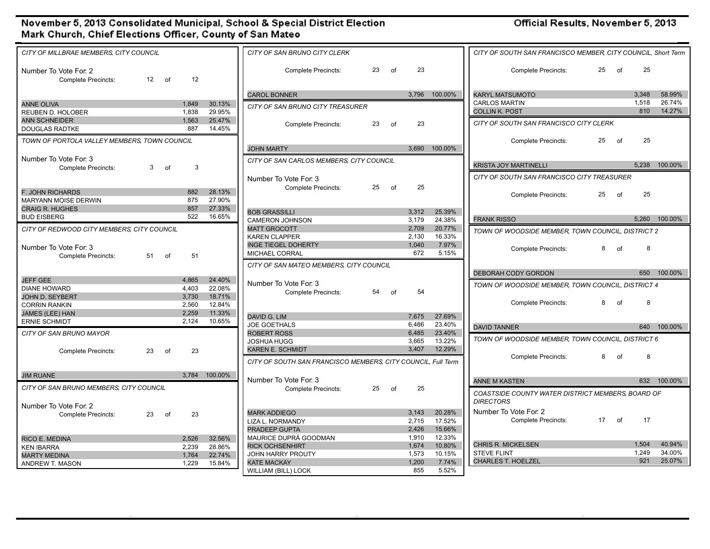## November 5, 2013 Consolidated Municipal, School & Special District Election Mark Church, Chief Elections Officer, County of San Mateo

Official Results, November 5, 2013

| CITY OF MILLBRAE MEMBERS, CITY COUNCIL              |    |    |                   |               | CITY OF SAN BRUNO CITY CLERK                                 |       |         |                                              |               | CITY OF SOUTH SAN FRANCISCO MEMBER, CITY COUNCIL, Short Term |
|-----------------------------------------------------|----|----|-------------------|---------------|--------------------------------------------------------------|-------|---------|----------------------------------------------|---------------|--------------------------------------------------------------|
| Number To Vote For: 2<br><b>Complete Precincts:</b> | 12 | of | 12                |               | <b>Complete Precincts:</b>                                   | 23    | of      | 23                                           |               | 25<br>25<br><b>Complete Precincts:</b><br>of                 |
|                                                     |    |    |                   |               | <b>CAROL BONNER</b>                                          |       |         |                                              | 3,796 100.00% | <b>KARYL MATSUMOTO</b><br>3.348<br>58.99%                    |
| <b>ANNE OLIVA</b>                                   |    |    | 1.849             | 30.13%        |                                                              |       |         |                                              |               | 26.74%<br>1,518<br><b>CARLOS MARTIN</b>                      |
| <b>REUBEN D. HOLOBER</b>                            |    |    | 1.838             | 29.95%        | CITY OF SAN BRUNO CITY TREASURER                             |       |         |                                              |               | 810<br>14.27%<br><b>COLLIN K. POST</b>                       |
| <b>ANN SCHNEIDER</b>                                |    |    | 1,563             | 25.47%        |                                                              |       |         |                                              |               |                                                              |
| <b>DOUGLAS RADTKE</b>                               |    |    | 887               | 14.45%        | <b>Complete Precincts:</b>                                   | 23    | of      | 23                                           |               | CITY OF SOUTH SAN FRANCISCO CITY CLERK                       |
| TOWN OF PORTOLA VALLEY MEMBERS, TOWN COUNCIL        |    |    | <b>JOHN MARTY</b> |               |                                                              | 3.690 | 100.00% | 25<br><b>Complete Precincts:</b><br>25<br>of |               |                                                              |
| Number To Vote For: 3                               |    |    |                   |               |                                                              |       |         |                                              |               |                                                              |
| <b>Complete Precincts:</b>                          | 3  | of | 3                 |               | CITY OF SAN CARLOS MEMBERS, CITY COUNCIL                     |       |         |                                              |               | 5.238 100.00%<br><b>KRISTA JOY MARTINELLI</b>                |
|                                                     |    |    |                   |               | Number To Vote For: 3                                        |       |         |                                              |               | CITY OF SOUTH SAN FRANCISCO CITY TREASURER                   |
| F. JOHN RICHARDS                                    |    |    | 882               | 28.13%        | <b>Complete Precincts:</b>                                   | 25    | of      | 25                                           |               |                                                              |
| MARYANN MOISE DERWIN                                |    |    | 875               | 27.90%        |                                                              |       |         |                                              |               | 25<br>25<br><b>Complete Precincts:</b><br>of                 |
| <b>CRAIG R. HUGHES</b>                              |    |    | 857               | 27.33%        | <b>BOB GRASSILLI</b>                                         |       |         | 3.312                                        | 25.39%        |                                                              |
| <b>BUD EISBERG</b>                                  |    |    | 522               | 16.65%        | <b>CAMERON JOHNSON</b>                                       |       |         | 3,179                                        | 24.38%        | 100.00%<br><b>FRANK RISSO</b><br>5.260                       |
| CITY OF REDWOOD CITY MEMBERS. CITY COUNCIL          |    |    |                   |               | <b>MATT GROCOTT</b>                                          |       |         | 2.709                                        | 20.77%        |                                                              |
|                                                     |    |    |                   |               | <b>KAREN CLAPPER</b>                                         |       |         | 2,130                                        | 16.33%        | TOWN OF WOODSIDE MEMBER, TOWN COUNCIL, DISTRICT 2            |
| Number To Vote For: 3                               |    |    |                   |               | <b>INGE TIEGEL DOHERTY</b>                                   |       |         | 1,040                                        | 7.97%         | 8<br>8<br>of                                                 |
| <b>Complete Precincts:</b>                          | 51 | of | 51                |               | MICHAEL CORRAL                                               |       |         | 672                                          | 5.15%         | <b>Complete Precincts:</b>                                   |
|                                                     |    |    |                   |               | CITY OF SAN MATEO MEMBERS. CITY COUNCIL                      |       |         |                                              |               |                                                              |
| <b>JEFF GEE</b>                                     |    |    | 4,865             | 24.40%        |                                                              |       |         |                                              |               | 650 100.00%<br><b>DEBORAH CODY GORDON</b>                    |
| <b>DIANE HOWARD</b>                                 |    |    | 4.403             | 22.08%        | Number To Vote For: 3                                        |       |         |                                              |               | TOWN OF WOODSIDE MEMBER, TOWN COUNCIL, DISTRICT 4            |
| JOHN D. SEYBERT                                     |    |    | 3,730             | 18.71%        | <b>Complete Precincts:</b>                                   | 54    | of      | 54                                           |               |                                                              |
| <b>CORRIN RANKIN</b>                                |    |    | 2,560             | 12.84%        |                                                              |       |         |                                              |               | <b>Complete Precincts:</b><br>8<br>8<br>of                   |
| <b>JAMES (LEE) HAN</b>                              |    |    | 2,259             | 11.33%        | DAVID G. LIM                                                 |       |         | 7.675                                        | 27.69%        |                                                              |
| <b>ERNIE SCHMIDT</b>                                |    |    | 2,124             | 10.65%        | <b>JOE GOETHALS</b>                                          |       |         | 6.486                                        | 23.40%        | 640<br>100.00%<br><b>DAVID TANNER</b>                        |
| CITY OF SAN BRUNO MAYOR                             |    |    |                   |               | <b>ROBERT ROSS</b>                                           |       |         | 6,485                                        | 23.40%        |                                                              |
|                                                     |    |    |                   |               | JOSHUA HUGG                                                  |       |         | 3.665                                        | 13.22%        | TOWN OF WOODSIDE MEMBER, TOWN COUNCIL, DISTRICT 6            |
| <b>Complete Precincts:</b>                          | 23 | of | 23                |               | <b>KAREN E. SCHMIDT</b>                                      |       |         | 3.407                                        | 12.29%        | 8                                                            |
|                                                     |    |    |                   |               | CITY OF SOUTH SAN FRANCISCO MEMBERS, CITY COUNCIL, Full Term |       |         |                                              |               | 8<br><b>Complete Precincts:</b><br>of                        |
| <b>JIM RUANE</b>                                    |    |    |                   | 3,784 100.00% | Number To Vote For: 3                                        |       |         |                                              |               | <b>ANNE M KASTEN</b><br>632 100.00%                          |
| CITY OF SAN BRUNO MEMBERS, CITY COUNCIL             |    |    |                   |               | <b>Complete Precincts:</b>                                   | 25    | of      | 25                                           |               | COASTSIDE COUNTY WATER DISTRICT MEMBERS, BOARD OF            |
|                                                     |    |    |                   |               |                                                              |       |         |                                              |               | <b>DIRECTORS</b>                                             |
| Number To Vote For: 2<br><b>Complete Precincts:</b> | 23 | of | 23                |               | <b>MARK ADDIEGO</b>                                          |       |         | 3,143                                        | 20.28%        | Number To Vote For: 2                                        |
|                                                     |    |    |                   |               | LIZA L. NORMANDY                                             |       |         | 2,715                                        | 17.52%        | 17<br>17<br><b>Complete Precincts:</b><br>of                 |
|                                                     |    |    |                   |               | PRADEEP GUPTA                                                |       |         | 2.426                                        | 15.66%        |                                                              |
| RICO E. MEDINA                                      |    |    | 2.526             | 32.56%        | MAURICE DUPRÁ GOODMAN                                        |       |         | 1.910                                        | 12.33%        |                                                              |
| <b>KEN IBARRA</b>                                   |    |    | 2,239             | 28.86%        | <b>RICK OCHSENHIRT</b>                                       |       |         | 1.674                                        | 10.80%        | <b>CHRIS R. MICKELSEN</b><br>1.504<br>40.94%                 |
| <b>MARTY MEDINA</b>                                 |    |    | 1,764             | 22.74%        | JOHN HARRY PROUTY                                            |       |         | 1,573                                        | 10.15%        | 1,249<br>34.00%<br><b>STEVE FLINT</b>                        |
| ANDREW T. MASON                                     |    |    | 1.229             | 15.84%        | <b>KATE MACKAY</b>                                           |       |         | 1.200                                        | 7.74%         | 921<br>25.07%<br><b>CHARLES T. HOELZEL</b>                   |
|                                                     |    |    |                   |               | WILLIAM (BILL) LOCK                                          |       |         | 855                                          | 5.52%         |                                                              |